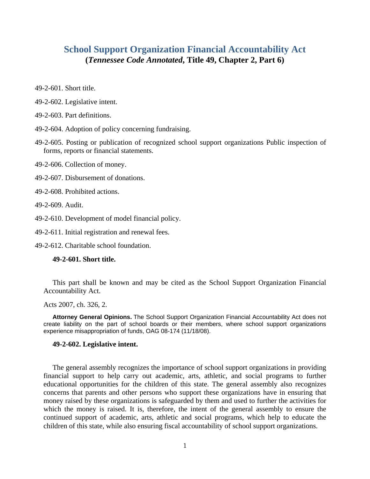# **School Support Organization Financial Accountability Act (***Tennessee Code Annotated***, Title 49, Chapter 2, Part 6)**

- 49-2-601. Short title.
- 49-2-602. Legislative intent.
- 49-2-603. Part definitions.
- 49-2-604. Adoption of policy concerning fundraising.
- 49-2-605. Posting or publication of recognized school support organizations Public inspection of forms, reports or financial statements.
- 49-2-606. Collection of money.
- 49-2-607. Disbursement of donations.
- 49-2-608. Prohibited actions.
- 49-2-609. Audit.
- 49-2-610. Development of model financial policy.
- 49-2-611. Initial registration and renewal fees.
- 49-2-612. Charitable school foundation.

### **49-2-601. Short title.**

This part shall be known and may be cited as the School Support Organization Financial Accountability Act.

Acts 2007, ch. 326, 2.

**Attorney General Opinions.** The School Support Organization Financial Accountability Act does not create liability on the part of school boards or their members, where school support organizations experience misappropriation of funds, OAG 08-174 (11/18/08).

#### **49-2-602. Legislative intent.**

The general assembly recognizes the importance of school support organizations in providing financial support to help carry out academic, arts, athletic, and social programs to further educational opportunities for the children of this state. The general assembly also recognizes concerns that parents and other persons who support these organizations have in ensuring that money raised by these organizations is safeguarded by them and used to further the activities for which the money is raised. It is, therefore, the intent of the general assembly to ensure the continued support of academic, arts, athletic and social programs, which help to educate the children of this state, while also ensuring fiscal accountability of school support organizations.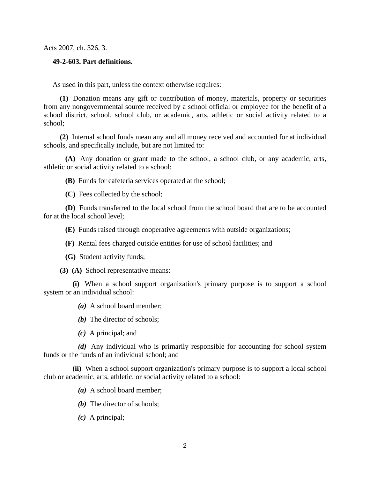Acts 2007, ch. 326, 3.

# **49-2-603. Part definitions.**

As used in this part, unless the context otherwise requires:

 **(1)** Donation means any gift or contribution of money, materials, property or securities from any nongovernmental source received by a school official or employee for the benefit of a school district, school, school club, or academic, arts, athletic or social activity related to a school;

 **(2)** Internal school funds mean any and all money received and accounted for at individual schools, and specifically include, but are not limited to:

 **(A)** Any donation or grant made to the school, a school club, or any academic, arts, athletic or social activity related to a school;

**(B)** Funds for cafeteria services operated at the school;

**(C)** Fees collected by the school;

 **(D)** Funds transferred to the local school from the school board that are to be accounted for at the local school level;

**(E)** Funds raised through cooperative agreements with outside organizations;

**(F)** Rental fees charged outside entities for use of school facilities; and

**(G)** Student activity funds;

**(3) (A)** School representative means:

 **(i)** When a school support organization's primary purpose is to support a school system or an individual school:

*(a)* A school board member;

*(b)* The director of schools;

*(c)* A principal; and

 *(d)* Any individual who is primarily responsible for accounting for school system funds or the funds of an individual school; and

 **(ii)** When a school support organization's primary purpose is to support a local school club or academic, arts, athletic, or social activity related to a school:

*(a)* A school board member;

- *(b)* The director of schools;
- *(c)* A principal;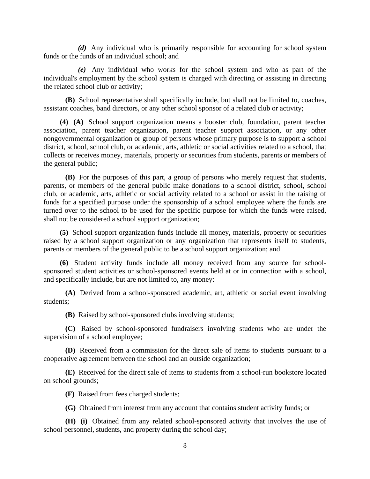*(d)* Any individual who is primarily responsible for accounting for school system funds or the funds of an individual school; and

 *(e)* Any individual who works for the school system and who as part of the individual's employment by the school system is charged with directing or assisting in directing the related school club or activity;

 **(B)** School representative shall specifically include, but shall not be limited to, coaches, assistant coaches, band directors, or any other school sponsor of a related club or activity;

 **(4) (A)** School support organization means a booster club, foundation, parent teacher association, parent teacher organization, parent teacher support association, or any other nongovernmental organization or group of persons whose primary purpose is to support a school district, school, school club, or academic, arts, athletic or social activities related to a school, that collects or receives money, materials, property or securities from students, parents or members of the general public;

 **(B)** For the purposes of this part, a group of persons who merely request that students, parents, or members of the general public make donations to a school district, school, school club, or academic, arts, athletic or social activity related to a school or assist in the raising of funds for a specified purpose under the sponsorship of a school employee where the funds are turned over to the school to be used for the specific purpose for which the funds were raised, shall not be considered a school support organization;

 **(5)** School support organization funds include all money, materials, property or securities raised by a school support organization or any organization that represents itself to students, parents or members of the general public to be a school support organization; and

 **(6)** Student activity funds include all money received from any source for schoolsponsored student activities or school-sponsored events held at or in connection with a school, and specifically include, but are not limited to, any money:

 **(A)** Derived from a school-sponsored academic, art, athletic or social event involving students;

**(B)** Raised by school-sponsored clubs involving students;

 **(C)** Raised by school-sponsored fundraisers involving students who are under the supervision of a school employee;

 **(D)** Received from a commission for the direct sale of items to students pursuant to a cooperative agreement between the school and an outside organization;

 **(E)** Received for the direct sale of items to students from a school-run bookstore located on school grounds;

**(F)** Raised from fees charged students;

**(G)** Obtained from interest from any account that contains student activity funds; or

 **(H) (i)** Obtained from any related school-sponsored activity that involves the use of school personnel, students, and property during the school day;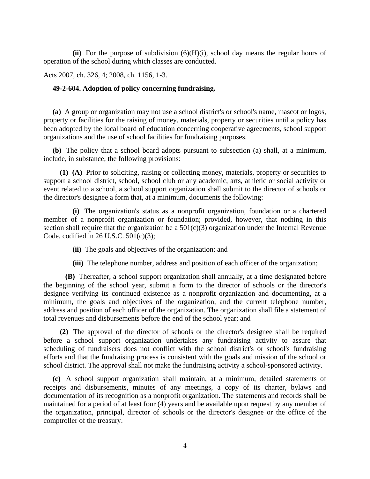**(ii)** For the purpose of subdivision (6)(H)(i), school day means the regular hours of operation of the school during which classes are conducted.

Acts 2007, ch. 326, 4; 2008, ch. 1156, 1-3.

# **49-2-604. Adoption of policy concerning fundraising.**

**(a)** A group or organization may not use a school district's or school's name, mascot or logos, property or facilities for the raising of money, materials, property or securities until a policy has been adopted by the local board of education concerning cooperative agreements, school support organizations and the use of school facilities for fundraising purposes.

**(b)** The policy that a school board adopts pursuant to subsection (a) shall, at a minimum, include, in substance, the following provisions:

 **(1) (A)** Prior to soliciting, raising or collecting money, materials, property or securities to support a school district, school, school club or any academic, arts, athletic or social activity or event related to a school, a school support organization shall submit to the director of schools or the director's designee a form that, at a minimum, documents the following:

 **(i)** The organization's status as a nonprofit organization, foundation or a chartered member of a nonprofit organization or foundation; provided, however, that nothing in this section shall require that the organization be a  $501(c)(3)$  organization under the Internal Revenue Code, codified in 26 U.S.C. 501(c)(3);

**(ii)** The goals and objectives of the organization; and

**(iii)** The telephone number, address and position of each officer of the organization;

 **(B)** Thereafter, a school support organization shall annually, at a time designated before the beginning of the school year, submit a form to the director of schools or the director's designee verifying its continued existence as a nonprofit organization and documenting, at a minimum, the goals and objectives of the organization, and the current telephone number, address and position of each officer of the organization. The organization shall file a statement of total revenues and disbursements before the end of the school year; and

 **(2)** The approval of the director of schools or the director's designee shall be required before a school support organization undertakes any fundraising activity to assure that scheduling of fundraisers does not conflict with the school district's or school's fundraising efforts and that the fundraising process is consistent with the goals and mission of the school or school district. The approval shall not make the fundraising activity a school-sponsored activity.

**(c)** A school support organization shall maintain, at a minimum, detailed statements of receipts and disbursements, minutes of any meetings, a copy of its charter, bylaws and documentation of its recognition as a nonprofit organization. The statements and records shall be maintained for a period of at least four (4) years and be available upon request by any member of the organization, principal, director of schools or the director's designee or the office of the comptroller of the treasury.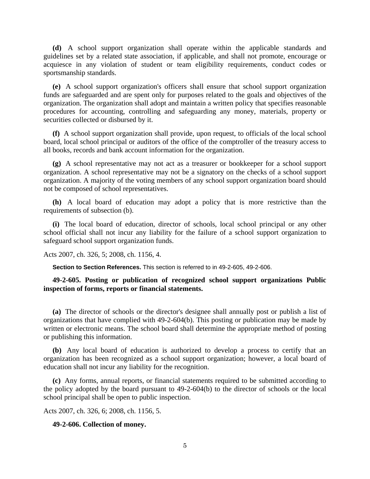**(d)** A school support organization shall operate within the applicable standards and guidelines set by a related state association, if applicable, and shall not promote, encourage or acquiesce in any violation of student or team eligibility requirements, conduct codes or sportsmanship standards.

**(e)** A school support organization's officers shall ensure that school support organization funds are safeguarded and are spent only for purposes related to the goals and objectives of the organization. The organization shall adopt and maintain a written policy that specifies reasonable procedures for accounting, controlling and safeguarding any money, materials, property or securities collected or disbursed by it.

**(f)** A school support organization shall provide, upon request, to officials of the local school board, local school principal or auditors of the office of the comptroller of the treasury access to all books, records and bank account information for the organization.

**(g)** A school representative may not act as a treasurer or bookkeeper for a school support organization. A school representative may not be a signatory on the checks of a school support organization. A majority of the voting members of any school support organization board should not be composed of school representatives.

**(h)** A local board of education may adopt a policy that is more restrictive than the requirements of subsection (b).

**(i)** The local board of education, director of schools, local school principal or any other school official shall not incur any liability for the failure of a school support organization to safeguard school support organization funds.

Acts 2007, ch. 326, 5; 2008, ch. 1156, 4.

**Section to Section References.** This section is referred to in 49-2-605, 49-2-606.

**49-2-605. Posting or publication of recognized school support organizations Public inspection of forms, reports or financial statements.** 

**(a)** The director of schools or the director's designee shall annually post or publish a list of organizations that have complied with 49-2-604(b). This posting or publication may be made by written or electronic means. The school board shall determine the appropriate method of posting or publishing this information.

**(b)** Any local board of education is authorized to develop a process to certify that an organization has been recognized as a school support organization; however, a local board of education shall not incur any liability for the recognition.

**(c)** Any forms, annual reports, or financial statements required to be submitted according to the policy adopted by the board pursuant to 49-2-604(b) to the director of schools or the local school principal shall be open to public inspection.

Acts 2007, ch. 326, 6; 2008, ch. 1156, 5.

#### **49-2-606. Collection of money.**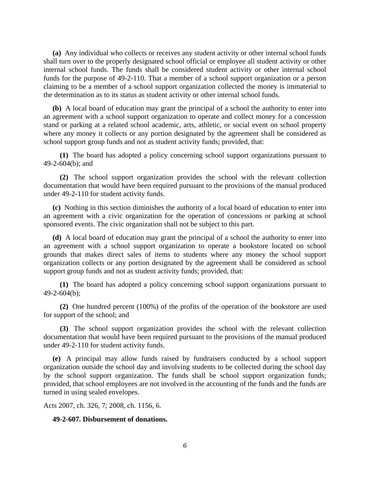**(a)** Any individual who collects or receives any student activity or other internal school funds shall turn over to the properly designated school official or employee all student activity or other internal school funds. The funds shall be considered student activity or other internal school funds for the purpose of 49-2-110. That a member of a school support organization or a person claiming to be a member of a school support organization collected the money is immaterial to the determination as to its status as student activity or other internal school funds.

**(b)** A local board of education may grant the principal of a school the authority to enter into an agreement with a school support organization to operate and collect money for a concession stand or parking at a related school academic, arts, athletic, or social event on school property where any money it collects or any portion designated by the agreement shall be considered as school support group funds and not as student activity funds; provided, that:

 **(1)** The board has adopted a policy concerning school support organizations pursuant to 49-2-604(b); and

 **(2)** The school support organization provides the school with the relevant collection documentation that would have been required pursuant to the provisions of the manual produced under 49-2-110 for student activity funds.

**(c)** Nothing in this section diminishes the authority of a local board of education to enter into an agreement with a civic organization for the operation of concessions or parking at school sponsored events. The civic organization shall not be subject to this part.

**(d)** A local board of education may grant the principal of a school the authority to enter into an agreement with a school support organization to operate a bookstore located on school grounds that makes direct sales of items to students where any money the school support organization collects or any portion designated by the agreement shall be considered as school support group funds and not as student activity funds; provided, that:

 **(1)** The board has adopted a policy concerning school support organizations pursuant to 49-2-604(b);

 **(2)** One hundred percent (100%) of the profits of the operation of the bookstore are used for support of the school; and

 **(3)** The school support organization provides the school with the relevant collection documentation that would have been required pursuant to the provisions of the manual produced under 49-2-110 for student activity funds.

**(e)** A principal may allow funds raised by fundraisers conducted by a school support organization outside the school day and involving students to be collected during the school day by the school support organization. The funds shall be school support organization funds; provided, that school employees are not involved in the accounting of the funds and the funds are turned in using sealed envelopes.

Acts 2007, ch. 326, 7; 2008, ch. 1156, 6.

# **49-2-607. Disbursement of donations.**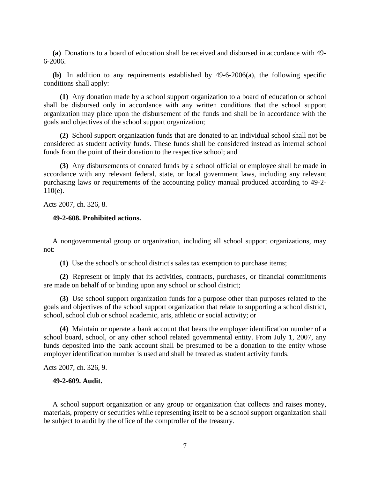**(a)** Donations to a board of education shall be received and disbursed in accordance with 49- 6-2006.

**(b)** In addition to any requirements established by 49-6-2006(a), the following specific conditions shall apply:

 **(1)** Any donation made by a school support organization to a board of education or school shall be disbursed only in accordance with any written conditions that the school support organization may place upon the disbursement of the funds and shall be in accordance with the goals and objectives of the school support organization;

 **(2)** School support organization funds that are donated to an individual school shall not be considered as student activity funds. These funds shall be considered instead as internal school funds from the point of their donation to the respective school; and

 **(3)** Any disbursements of donated funds by a school official or employee shall be made in accordance with any relevant federal, state, or local government laws, including any relevant purchasing laws or requirements of the accounting policy manual produced according to 49-2- 110(e).

Acts 2007, ch. 326, 8.

### **49-2-608. Prohibited actions.**

A nongovernmental group or organization, including all school support organizations, may not:

**(1)** Use the school's or school district's sales tax exemption to purchase items;

 **(2)** Represent or imply that its activities, contracts, purchases, or financial commitments are made on behalf of or binding upon any school or school district;

 **(3)** Use school support organization funds for a purpose other than purposes related to the goals and objectives of the school support organization that relate to supporting a school district, school, school club or school academic, arts, athletic or social activity; or

 **(4)** Maintain or operate a bank account that bears the employer identification number of a school board, school, or any other school related governmental entity. From July 1, 2007, any funds deposited into the bank account shall be presumed to be a donation to the entity whose employer identification number is used and shall be treated as student activity funds.

Acts 2007, ch. 326, 9.

# **49-2-609. Audit.**

A school support organization or any group or organization that collects and raises money, materials, property or securities while representing itself to be a school support organization shall be subject to audit by the office of the comptroller of the treasury.